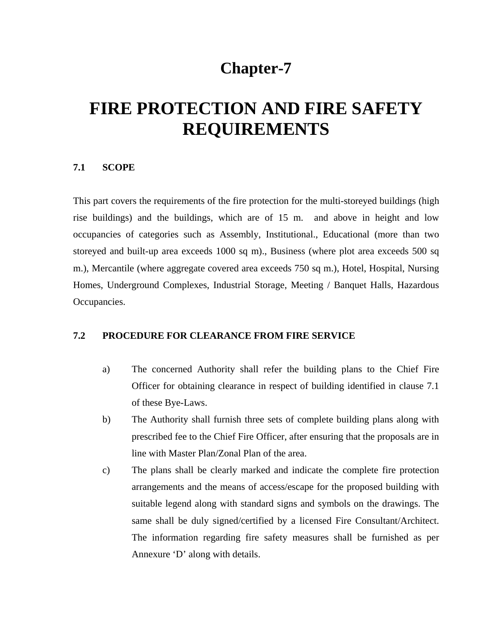## **Chapter-7**

# **FIRE PROTECTION AND FIRE SAFETY REQUIREMENTS**

#### **7.1 SCOPE**

This part covers the requirements of the fire protection for the multi-storeyed buildings (high rise buildings) and the buildings, which are of 15 m. and above in height and low occupancies of categories such as Assembly, Institutional., Educational (more than two storeyed and built-up area exceeds 1000 sq m)., Business (where plot area exceeds 500 sq m.), Mercantile (where aggregate covered area exceeds 750 sq m.), Hotel, Hospital, Nursing Homes, Underground Complexes, Industrial Storage, Meeting / Banquet Halls, Hazardous Occupancies.

#### **7.2 PROCEDURE FOR CLEARANCE FROM FIRE SERVICE**

- a) The concerned Authority shall refer the building plans to the Chief Fire Officer for obtaining clearance in respect of building identified in clause 7.1 of these Bye-Laws.
- b) The Authority shall furnish three sets of complete building plans along with prescribed fee to the Chief Fire Officer, after ensuring that the proposals are in line with Master Plan/Zonal Plan of the area.
- c) The plans shall be clearly marked and indicate the complete fire protection arrangements and the means of access/escape for the proposed building with suitable legend along with standard signs and symbols on the drawings. The same shall be duly signed/certified by a licensed Fire Consultant/Architect. The information regarding fire safety measures shall be furnished as per Annexure 'D' along with details.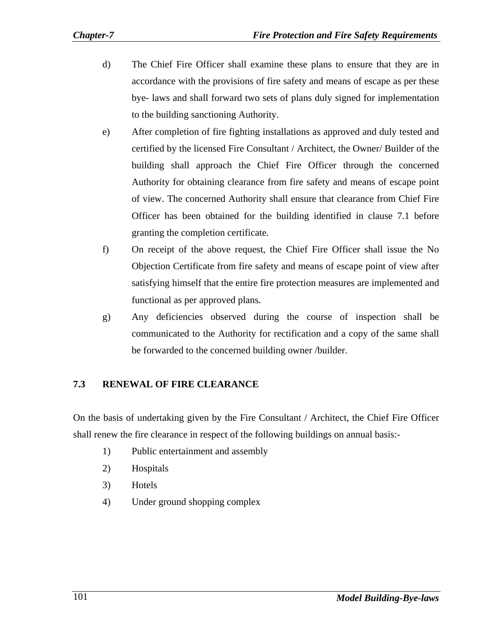- d) The Chief Fire Officer shall examine these plans to ensure that they are in accordance with the provisions of fire safety and means of escape as per these bye- laws and shall forward two sets of plans duly signed for implementation to the building sanctioning Authority.
- e) After completion of fire fighting installations as approved and duly tested and certified by the licensed Fire Consultant / Architect, the Owner/ Builder of the building shall approach the Chief Fire Officer through the concerned Authority for obtaining clearance from fire safety and means of escape point of view. The concerned Authority shall ensure that clearance from Chief Fire Officer has been obtained for the building identified in clause 7.1 before granting the completion certificate.
- f) On receipt of the above request, the Chief Fire Officer shall issue the No Objection Certificate from fire safety and means of escape point of view after satisfying himself that the entire fire protection measures are implemented and functional as per approved plans.
- g) Any deficiencies observed during the course of inspection shall be communicated to the Authority for rectification and a copy of the same shall be forwarded to the concerned building owner /builder.

## **7.3 RENEWAL OF FIRE CLEARANCE**

On the basis of undertaking given by the Fire Consultant / Architect, the Chief Fire Officer shall renew the fire clearance in respect of the following buildings on annual basis:-

- 1) Public entertainment and assembly
- 2) Hospitals
- 3) Hotels
- 4) Under ground shopping complex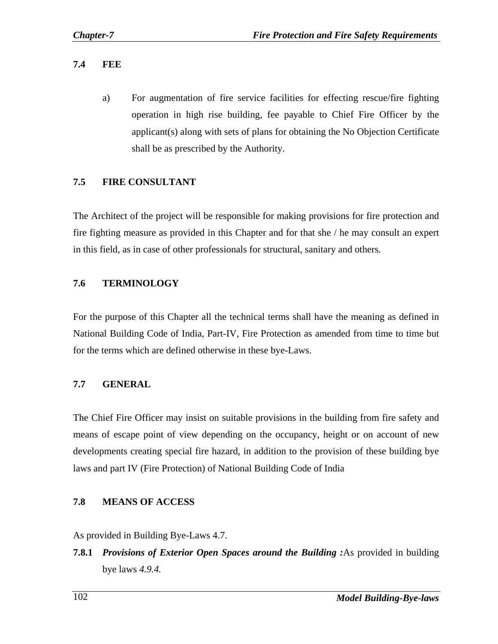#### **7.4 FEE**

a) For augmentation of fire service facilities for effecting rescue/fire fighting operation in high rise building, fee payable to Chief Fire Officer by the applicant(s) along with sets of plans for obtaining the No Objection Certificate shall be as prescribed by the Authority.

#### **7.5 FIRE CONSULTANT**

The Architect of the project will be responsible for making provisions for fire protection and fire fighting measure as provided in this Chapter and for that she / he may consult an expert in this field, as in case of other professionals for structural, sanitary and others.

### **7.6 TERMINOLOGY**

For the purpose of this Chapter all the technical terms shall have the meaning as defined in National Building Code of India, Part-IV, Fire Protection as amended from time to time but for the terms which are defined otherwise in these bye-Laws.

#### **7.7 GENERAL**

The Chief Fire Officer may insist on suitable provisions in the building from fire safety and means of escape point of view depending on the occupancy, height or on account of new developments creating special fire hazard, in addition to the provision of these building bye laws and part IV (Fire Protection) of National Building Code of India

#### **7.8 MEANS OF ACCESS**

As provided in Building Bye-Laws 4.7.

**7.8.1** *Provisions of Exterior Open Spaces around the Building :*As provided in building bye laws *4.9.4.*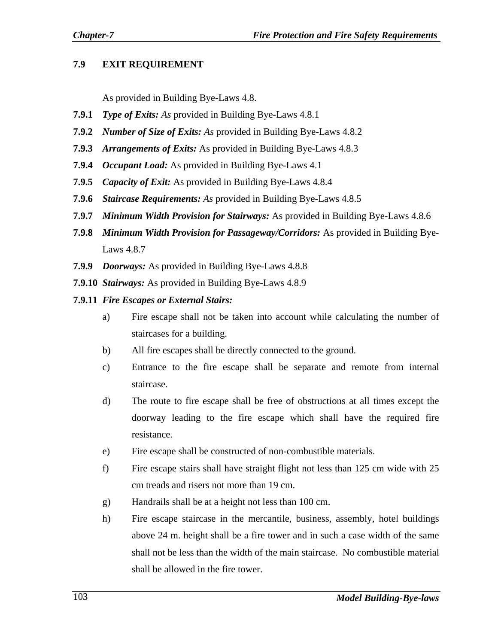## **7.9 EXIT REQUIREMENT**

As provided in Building Bye-Laws 4.8.

- **7.9.1** *Type of Exits: As* provided in Building Bye-Laws 4.8.1
- **7.9.2** *Number of Size of Exits: As* provided in Building Bye-Laws 4.8.2
- **7.9.3** *Arrangements of Exits:* As provided in Building Bye-Laws 4.8.3
- **7.9.4** *Occupant Load:* As provided in Building Bye-Laws 4.1
- **7.9.5** *Capacity of Exit:* As provided in Building Bye-Laws 4.8.4
- **7.9.6** *Staircase Requirements: As* provided in Building Bye-Laws 4.8.5
- **7.9.7** *Minimum Width Provision for Stairways:* As provided in Building Bye-Laws 4.8.6
- **7.9.8** *Minimum Width Provision for Passageway/Corridors:* As provided in Building Bye-Laws 4.8.7
- **7.9.9** *Doorways:* As provided in Building Bye-Laws 4.8.8
- **7.9.10** *Stairways:* As provided in Building Bye-Laws 4.8.9
- **7.9.11** *Fire Escapes or External Stairs:* 
	- a) Fire escape shall not be taken into account while calculating the number of staircases for a building.
	- b) All fire escapes shall be directly connected to the ground.
	- c) Entrance to the fire escape shall be separate and remote from internal staircase.
	- d) The route to fire escape shall be free of obstructions at all times except the doorway leading to the fire escape which shall have the required fire resistance.
	- e) Fire escape shall be constructed of non-combustible materials.
	- f) Fire escape stairs shall have straight flight not less than 125 cm wide with 25 cm treads and risers not more than 19 cm.
	- g) Handrails shall be at a height not less than 100 cm.
	- h) Fire escape staircase in the mercantile, business, assembly, hotel buildings above 24 m. height shall be a fire tower and in such a case width of the same shall not be less than the width of the main staircase. No combustible material shall be allowed in the fire tower.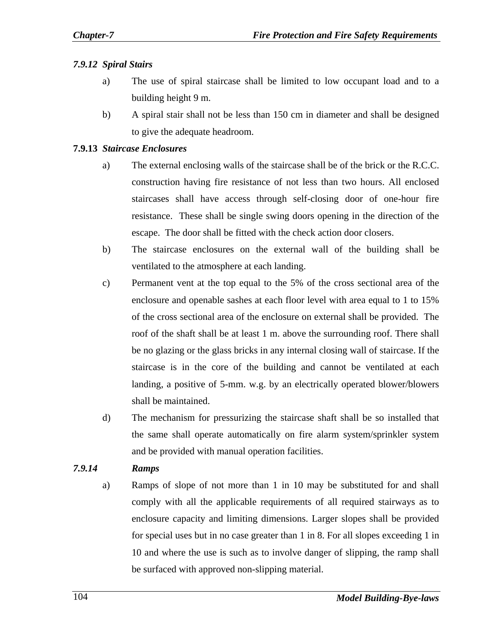## *7.9.12 Spiral Stairs*

- a) The use of spiral staircase shall be limited to low occupant load and to a building height 9 m.
- b) A spiral stair shall not be less than 150 cm in diameter and shall be designed to give the adequate headroom.

## **7.9.13** *Staircase Enclosures*

- a) The external enclosing walls of the staircase shall be of the brick or the R.C.C. construction having fire resistance of not less than two hours. All enclosed staircases shall have access through self-closing door of one-hour fire resistance. These shall be single swing doors opening in the direction of the escape. The door shall be fitted with the check action door closers.
- b) The staircase enclosures on the external wall of the building shall be ventilated to the atmosphere at each landing.
- c) Permanent vent at the top equal to the 5% of the cross sectional area of the enclosure and openable sashes at each floor level with area equal to 1 to 15% of the cross sectional area of the enclosure on external shall be provided. The roof of the shaft shall be at least 1 m. above the surrounding roof. There shall be no glazing or the glass bricks in any internal closing wall of staircase. If the staircase is in the core of the building and cannot be ventilated at each landing, a positive of 5-mm. w.g. by an electrically operated blower/blowers shall be maintained.
- d) The mechanism for pressurizing the staircase shaft shall be so installed that the same shall operate automatically on fire alarm system/sprinkler system and be provided with manual operation facilities.

## *7.9.14 Ramps*

a) Ramps of slope of not more than 1 in 10 may be substituted for and shall comply with all the applicable requirements of all required stairways as to enclosure capacity and limiting dimensions. Larger slopes shall be provided for special uses but in no case greater than 1 in 8. For all slopes exceeding 1 in 10 and where the use is such as to involve danger of slipping, the ramp shall be surfaced with approved non-slipping material.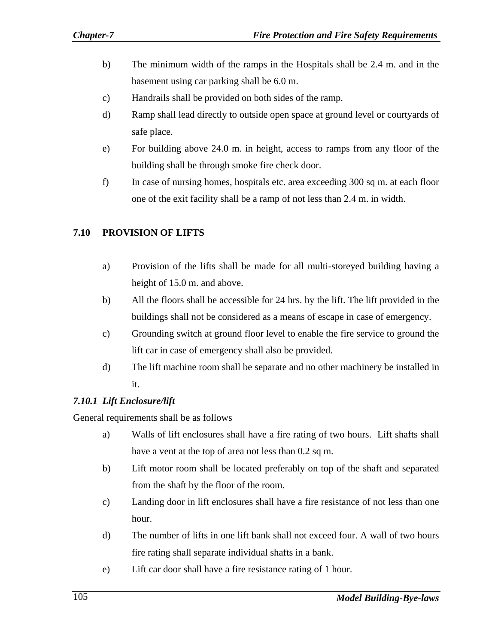- b) The minimum width of the ramps in the Hospitals shall be 2.4 m. and in the basement using car parking shall be 6.0 m.
- c) Handrails shall be provided on both sides of the ramp.
- d) Ramp shall lead directly to outside open space at ground level or courtyards of safe place.
- e) For building above 24.0 m. in height, access to ramps from any floor of the building shall be through smoke fire check door.
- f) In case of nursing homes, hospitals etc. area exceeding 300 sq m. at each floor one of the exit facility shall be a ramp of not less than 2.4 m. in width.

### **7.10 PROVISION OF LIFTS**

- a) Provision of the lifts shall be made for all multi-storeyed building having a height of 15.0 m. and above.
- b) All the floors shall be accessible for 24 hrs. by the lift. The lift provided in the buildings shall not be considered as a means of escape in case of emergency.
- c) Grounding switch at ground floor level to enable the fire service to ground the lift car in case of emergency shall also be provided.
- d) The lift machine room shall be separate and no other machinery be installed in it.

#### *7.10.1 Lift Enclosure/lift*

General requirements shall be as follows

- a) Walls of lift enclosures shall have a fire rating of two hours. Lift shafts shall have a vent at the top of area not less than 0.2 sq m.
- b) Lift motor room shall be located preferably on top of the shaft and separated from the shaft by the floor of the room.
- c) Landing door in lift enclosures shall have a fire resistance of not less than one hour.
- d) The number of lifts in one lift bank shall not exceed four. A wall of two hours fire rating shall separate individual shafts in a bank.
- e) Lift car door shall have a fire resistance rating of 1 hour.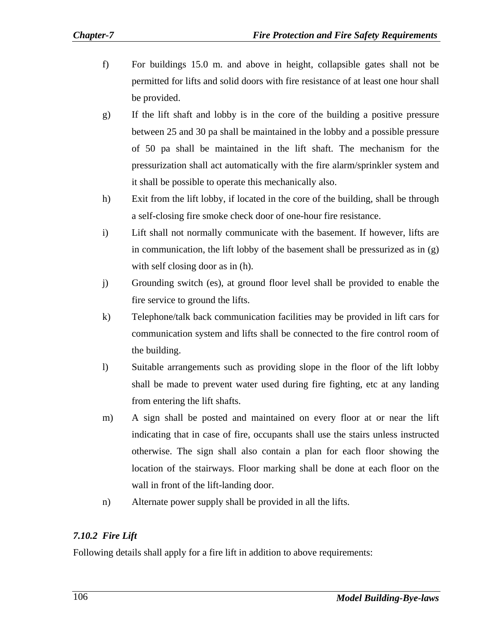- f) For buildings 15.0 m. and above in height, collapsible gates shall not be permitted for lifts and solid doors with fire resistance of at least one hour shall be provided.
- g) If the lift shaft and lobby is in the core of the building a positive pressure between 25 and 30 pa shall be maintained in the lobby and a possible pressure of 50 pa shall be maintained in the lift shaft. The mechanism for the pressurization shall act automatically with the fire alarm/sprinkler system and it shall be possible to operate this mechanically also.
- h) Exit from the lift lobby, if located in the core of the building, shall be through a self-closing fire smoke check door of one-hour fire resistance.
- i) Lift shall not normally communicate with the basement. If however, lifts are in communication, the lift lobby of the basement shall be pressurized as in  $(g)$ with self closing door as in  $(h)$ .
- j) Grounding switch (es), at ground floor level shall be provided to enable the fire service to ground the lifts.
- k) Telephone/talk back communication facilities may be provided in lift cars for communication system and lifts shall be connected to the fire control room of the building.
- l) Suitable arrangements such as providing slope in the floor of the lift lobby shall be made to prevent water used during fire fighting, etc at any landing from entering the lift shafts.
- m) A sign shall be posted and maintained on every floor at or near the lift indicating that in case of fire, occupants shall use the stairs unless instructed otherwise. The sign shall also contain a plan for each floor showing the location of the stairways. Floor marking shall be done at each floor on the wall in front of the lift-landing door.
- n) Alternate power supply shall be provided in all the lifts.

## *7.10.2 Fire Lift*

Following details shall apply for a fire lift in addition to above requirements: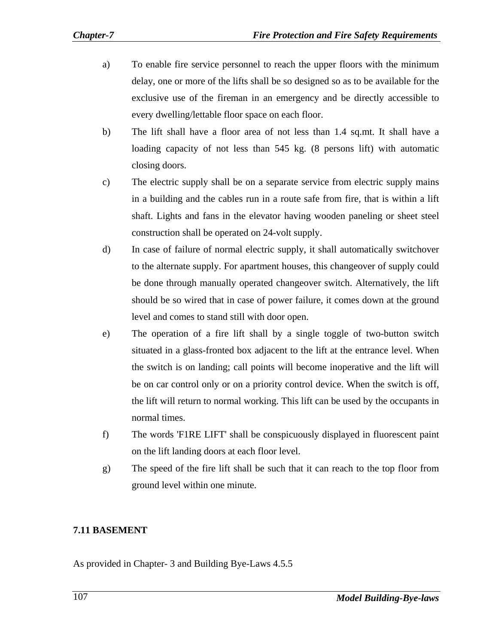- a) To enable fire service personnel to reach the upper floors with the minimum delay, one or more of the lifts shall be so designed so as to be available for the exclusive use of the fireman in an emergency and be directly accessible to every dwelling/lettable floor space on each floor.
- b) The lift shall have a floor area of not less than 1.4 sq.mt. It shall have a loading capacity of not less than 545 kg. (8 persons lift) with automatic closing doors.
- c) The electric supply shall be on a separate service from electric supply mains in a building and the cables run in a route safe from fire, that is within a lift shaft. Lights and fans in the elevator having wooden paneling or sheet steel construction shall be operated on 24-volt supply.
- d) In case of failure of normal electric supply, it shall automatically switchover to the alternate supply. For apartment houses, this changeover of supply could be done through manually operated changeover switch. Alternatively, the lift should be so wired that in case of power failure, it comes down at the ground level and comes to stand still with door open.
- e) The operation of a fire lift shall by a single toggle of two-button switch situated in a glass-fronted box adjacent to the lift at the entrance level. When the switch is on landing; call points will become inoperative and the lift will be on car control only or on a priority control device. When the switch is off, the lift will return to normal working. This lift can be used by the occupants in normal times.
- f) The words 'F1RE LIFT' shall be conspicuously displayed in fluorescent paint on the lift landing doors at each floor level.
- g) The speed of the fire lift shall be such that it can reach to the top floor from ground level within one minute.

## **7.11 BASEMENT**

As provided in Chapter- 3 and Building Bye-Laws 4.5.5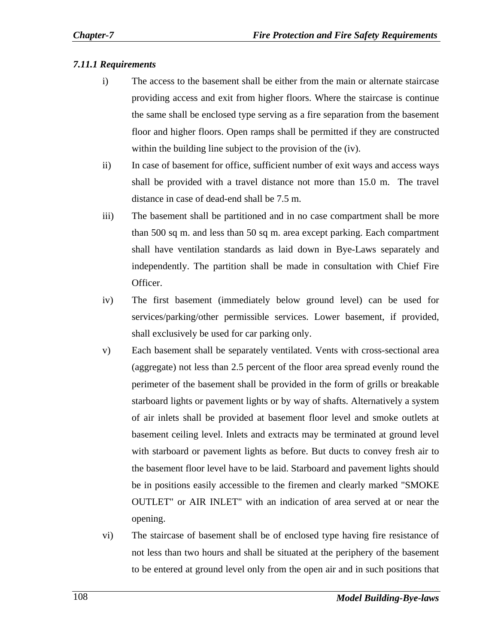#### *7.11.1 Requirements*

- i) The access to the basement shall be either from the main or alternate staircase providing access and exit from higher floors. Where the staircase is continue the same shall be enclosed type serving as a fire separation from the basement floor and higher floors. Open ramps shall be permitted if they are constructed within the building line subject to the provision of the (iv).
- ii) In case of basement for office, sufficient number of exit ways and access ways shall be provided with a travel distance not more than 15.0 m. The travel distance in case of dead-end shall be 7.5 m.
- iii) The basement shall be partitioned and in no case compartment shall be more than 500 sq m. and less than 50 sq m. area except parking. Each compartment shall have ventilation standards as laid down in Bye-Laws separately and independently. The partition shall be made in consultation with Chief Fire Officer.
- iv) The first basement (immediately below ground level) can be used for services/parking/other permissible services. Lower basement, if provided, shall exclusively be used for car parking only.
- v) Each basement shall be separately ventilated. Vents with cross-sectional area (aggregate) not less than 2.5 percent of the floor area spread evenly round the perimeter of the basement shall be provided in the form of grills or breakable starboard lights or pavement lights or by way of shafts. Alternatively a system of air inlets shall be provided at basement floor level and smoke outlets at basement ceiling level. Inlets and extracts may be terminated at ground level with starboard or pavement lights as before. But ducts to convey fresh air to the basement floor level have to be laid. Starboard and pavement lights should be in positions easily accessible to the firemen and clearly marked "SMOKE OUTLET" or AIR INLET" with an indication of area served at or near the opening.
- vi) The staircase of basement shall be of enclosed type having fire resistance of not less than two hours and shall be situated at the periphery of the basement to be entered at ground level only from the open air and in such positions that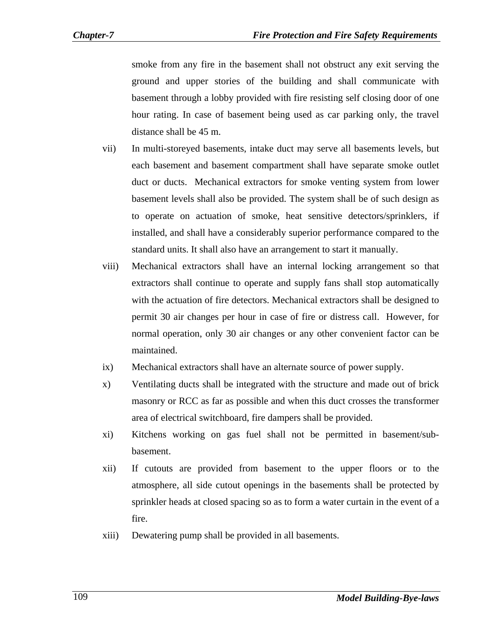smoke from any fire in the basement shall not obstruct any exit serving the ground and upper stories of the building and shall communicate with basement through a lobby provided with fire resisting self closing door of one hour rating. In case of basement being used as car parking only, the travel distance shall be 45 m.

- vii) In multi-storeyed basements, intake duct may serve all basements levels, but each basement and basement compartment shall have separate smoke outlet duct or ducts. Mechanical extractors for smoke venting system from lower basement levels shall also be provided. The system shall be of such design as to operate on actuation of smoke, heat sensitive detectors/sprinklers, if installed, and shall have a considerably superior performance compared to the standard units. It shall also have an arrangement to start it manually.
- viii) Mechanical extractors shall have an internal locking arrangement so that extractors shall continue to operate and supply fans shall stop automatically with the actuation of fire detectors. Mechanical extractors shall be designed to permit 30 air changes per hour in case of fire or distress call. However, for normal operation, only 30 air changes or any other convenient factor can be maintained.
- ix) Mechanical extractors shall have an alternate source of power supply.
- x) Ventilating ducts shall be integrated with the structure and made out of brick masonry or RCC as far as possible and when this duct crosses the transformer area of electrical switchboard, fire dampers shall be provided.
- xi) Kitchens working on gas fuel shall not be permitted in basement/subbasement.
- xii) If cutouts are provided from basement to the upper floors or to the atmosphere, all side cutout openings in the basements shall be protected by sprinkler heads at closed spacing so as to form a water curtain in the event of a fire.
- xiii) Dewatering pump shall be provided in all basements.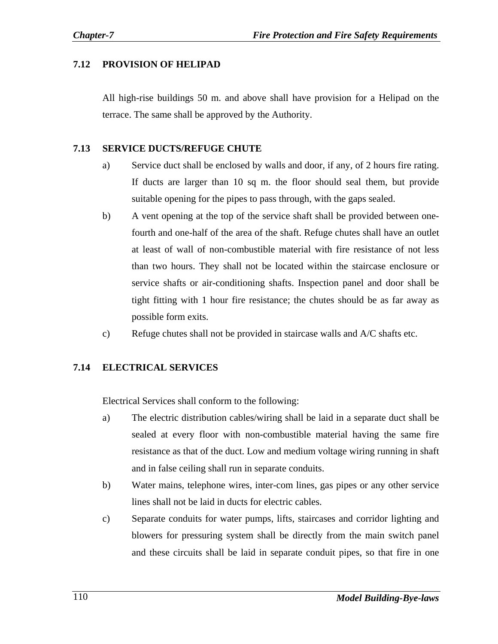### **7.12 PROVISION OF HELIPAD**

All high-rise buildings 50 m. and above shall have provision for a Helipad on the terrace. The same shall be approved by the Authority.

#### **7.13 SERVICE DUCTS/REFUGE CHUTE**

- a) Service duct shall be enclosed by walls and door, if any, of 2 hours fire rating. If ducts are larger than 10 sq m. the floor should seal them, but provide suitable opening for the pipes to pass through, with the gaps sealed.
- b) A vent opening at the top of the service shaft shall be provided between onefourth and one-half of the area of the shaft. Refuge chutes shall have an outlet at least of wall of non-combustible material with fire resistance of not less than two hours. They shall not be located within the staircase enclosure or service shafts or air-conditioning shafts. Inspection panel and door shall be tight fitting with 1 hour fire resistance; the chutes should be as far away as possible form exits.
- c) Refuge chutes shall not be provided in staircase walls and A/C shafts etc.

## **7.14 ELECTRICAL SERVICES**

Electrical Services shall conform to the following:

- a) The electric distribution cables/wiring shall be laid in a separate duct shall be sealed at every floor with non-combustible material having the same fire resistance as that of the duct. Low and medium voltage wiring running in shaft and in false ceiling shall run in separate conduits.
- b) Water mains, telephone wires, inter-com lines, gas pipes or any other service lines shall not be laid in ducts for electric cables.
- c) Separate conduits for water pumps, lifts, staircases and corridor lighting and blowers for pressuring system shall be directly from the main switch panel and these circuits shall be laid in separate conduit pipes, so that fire in one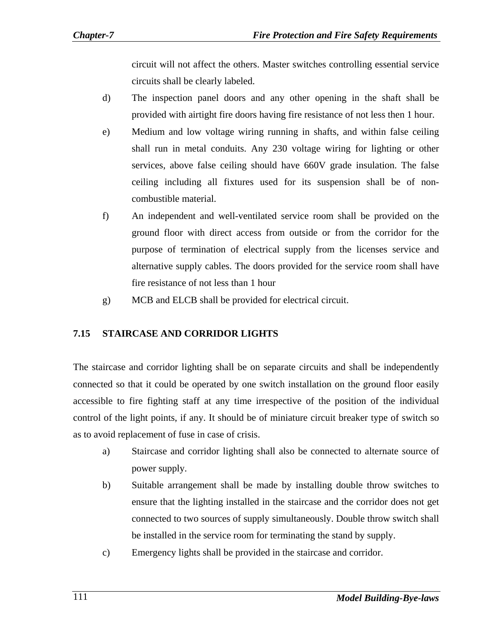circuit will not affect the others. Master switches controlling essential service circuits shall be clearly labeled.

- d) The inspection panel doors and any other opening in the shaft shall be provided with airtight fire doors having fire resistance of not less then 1 hour.
- e) Medium and low voltage wiring running in shafts, and within false ceiling shall run in metal conduits. Any 230 voltage wiring for lighting or other services, above false ceiling should have 660V grade insulation. The false ceiling including all fixtures used for its suspension shall be of noncombustible material.
- f) An independent and well-ventilated service room shall be provided on the ground floor with direct access from outside or from the corridor for the purpose of termination of electrical supply from the licenses service and alternative supply cables. The doors provided for the service room shall have fire resistance of not less than 1 hour
- g) MCB and ELCB shall be provided for electrical circuit.

## **7.15 STAIRCASE AND CORRIDOR LIGHTS**

The staircase and corridor lighting shall be on separate circuits and shall be independently connected so that it could be operated by one switch installation on the ground floor easily accessible to fire fighting staff at any time irrespective of the position of the individual control of the light points, if any. It should be of miniature circuit breaker type of switch so as to avoid replacement of fuse in case of crisis.

- a) Staircase and corridor lighting shall also be connected to alternate source of power supply.
- b) Suitable arrangement shall be made by installing double throw switches to ensure that the lighting installed in the staircase and the corridor does not get connected to two sources of supply simultaneously. Double throw switch shall be installed in the service room for terminating the stand by supply.
- c) Emergency lights shall be provided in the staircase and corridor.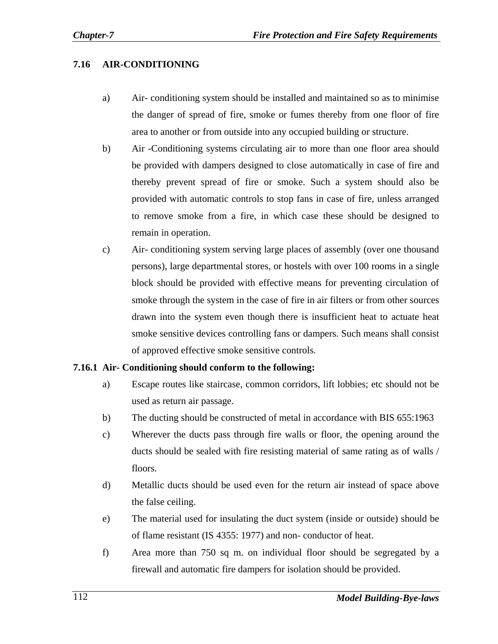#### **7.16 AIR-CONDITIONING**

- a) Air- conditioning system should be installed and maintained so as to minimise the danger of spread of fire, smoke or fumes thereby from one floor of fire area to another or from outside into any occupied building or structure.
- b) Air -Conditioning systems circulating air to more than one floor area should be provided with dampers designed to close automatically in case of fire and thereby prevent spread of fire or smoke. Such a system should also be provided with automatic controls to stop fans in case of fire, unless arranged to remove smoke from a fire, in which case these should be designed to remain in operation.
- c) Air- conditioning system serving large places of assembly (over one thousand persons), large departmental stores, or hostels with over 100 rooms in a single block should be provided with effective means for preventing circulation of smoke through the system in the case of fire in air filters or from other sources drawn into the system even though there is insufficient heat to actuate heat smoke sensitive devices controlling fans or dampers. Such means shall consist of approved effective smoke sensitive controls.

#### **7.16.1 Air- Conditioning should conform to the following:**

- a) Escape routes like staircase, common corridors, lift lobbies; etc should not be used as return air passage.
- b) The ducting should be constructed of metal in accordance with BIS 655:1963
- c) Wherever the ducts pass through fire walls or floor, the opening around the ducts should be sealed with fire resisting material of same rating as of walls / floors.
- d) Metallic ducts should be used even for the return air instead of space above the false ceiling.
- e) The material used for insulating the duct system (inside or outside) should be of flame resistant (IS 4355: 1977) and non- conductor of heat.
- f) Area more than 750 sq m. on individual floor should be segregated by a firewall and automatic fire dampers for isolation should be provided.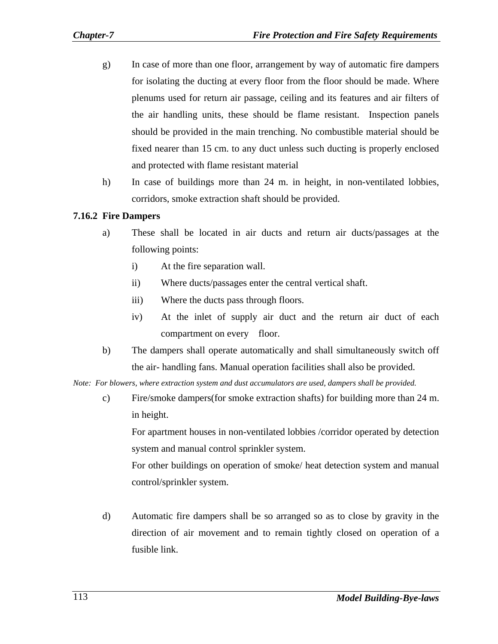- g) In case of more than one floor, arrangement by way of automatic fire dampers for isolating the ducting at every floor from the floor should be made. Where plenums used for return air passage, ceiling and its features and air filters of the air handling units, these should be flame resistant. Inspection panels should be provided in the main trenching. No combustible material should be fixed nearer than 15 cm. to any duct unless such ducting is properly enclosed and protected with flame resistant material
- h) In case of buildings more than 24 m. in height, in non-ventilated lobbies, corridors, smoke extraction shaft should be provided.

## **7.16.2 Fire Dampers**

- a) These shall be located in air ducts and return air ducts/passages at the following points:
	- i) At the fire separation wall.
	- ii) Where ducts/passages enter the central vertical shaft.
	- iii) Where the ducts pass through floors.
	- iv) At the inlet of supply air duct and the return air duct of each compartment on every floor.
- b) The dampers shall operate automatically and shall simultaneously switch off the air- handling fans. Manual operation facilities shall also be provided.

*Note: For blowers, where extraction system and dust accumulators are used, dampers shall be provided.* 

c) Fire/smoke dampers(for smoke extraction shafts) for building more than 24 m. in height.

For apartment houses in non-ventilated lobbies /corridor operated by detection system and manual control sprinkler system.

For other buildings on operation of smoke/ heat detection system and manual control/sprinkler system.

d) Automatic fire dampers shall be so arranged so as to close by gravity in the direction of air movement and to remain tightly closed on operation of a fusible link.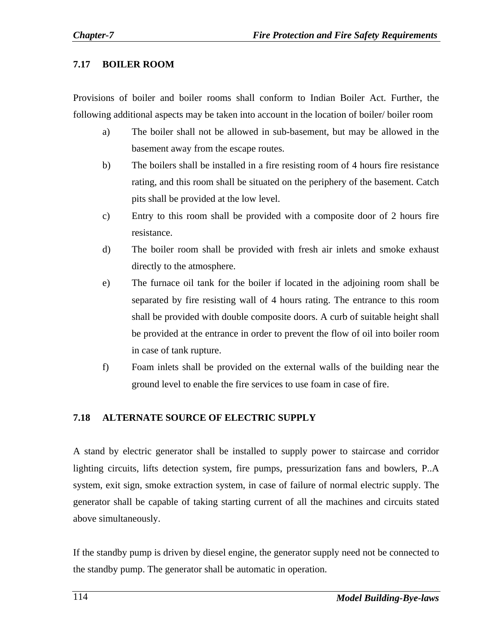## **7.17 BOILER ROOM**

Provisions of boiler and boiler rooms shall conform to Indian Boiler Act. Further, the following additional aspects may be taken into account in the location of boiler/ boiler room

- a) The boiler shall not be allowed in sub-basement, but may be allowed in the basement away from the escape routes.
- b) The boilers shall be installed in a fire resisting room of 4 hours fire resistance rating, and this room shall be situated on the periphery of the basement. Catch pits shall be provided at the low level.
- c) Entry to this room shall be provided with a composite door of 2 hours fire resistance.
- d) The boiler room shall be provided with fresh air inlets and smoke exhaust directly to the atmosphere.
- e) The furnace oil tank for the boiler if located in the adjoining room shall be separated by fire resisting wall of 4 hours rating. The entrance to this room shall be provided with double composite doors. A curb of suitable height shall be provided at the entrance in order to prevent the flow of oil into boiler room in case of tank rupture.
- f) Foam inlets shall be provided on the external walls of the building near the ground level to enable the fire services to use foam in case of fire.

## **7.18 ALTERNATE SOURCE OF ELECTRIC SUPPLY**

A stand by electric generator shall be installed to supply power to staircase and corridor lighting circuits, lifts detection system, fire pumps, pressurization fans and bowlers, P..A system, exit sign, smoke extraction system, in case of failure of normal electric supply. The generator shall be capable of taking starting current of all the machines and circuits stated above simultaneously.

If the standby pump is driven by diesel engine, the generator supply need not be connected to the standby pump. The generator shall be automatic in operation.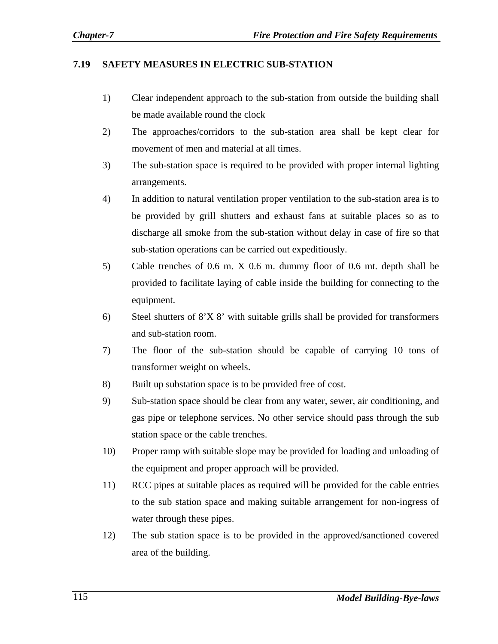#### **7.19 SAFETY MEASURES IN ELECTRIC SUB-STATION**

- 1) Clear independent approach to the sub-station from outside the building shall be made available round the clock
- 2) The approaches/corridors to the sub-station area shall be kept clear for movement of men and material at all times.
- 3) The sub-station space is required to be provided with proper internal lighting arrangements.
- 4) In addition to natural ventilation proper ventilation to the sub-station area is to be provided by grill shutters and exhaust fans at suitable places so as to discharge all smoke from the sub-station without delay in case of fire so that sub-station operations can be carried out expeditiously.
- 5) Cable trenches of 0.6 m. X 0.6 m. dummy floor of 0.6 mt. depth shall be provided to facilitate laying of cable inside the building for connecting to the equipment.
- 6) Steel shutters of 8'X 8' with suitable grills shall be provided for transformers and sub-station room.
- 7) The floor of the sub-station should be capable of carrying 10 tons of transformer weight on wheels.
- 8) Built up substation space is to be provided free of cost.
- 9) Sub-station space should be clear from any water, sewer, air conditioning, and gas pipe or telephone services. No other service should pass through the sub station space or the cable trenches.
- 10) Proper ramp with suitable slope may be provided for loading and unloading of the equipment and proper approach will be provided.
- 11) RCC pipes at suitable places as required will be provided for the cable entries to the sub station space and making suitable arrangement for non-ingress of water through these pipes.
- 12) The sub station space is to be provided in the approved/sanctioned covered area of the building.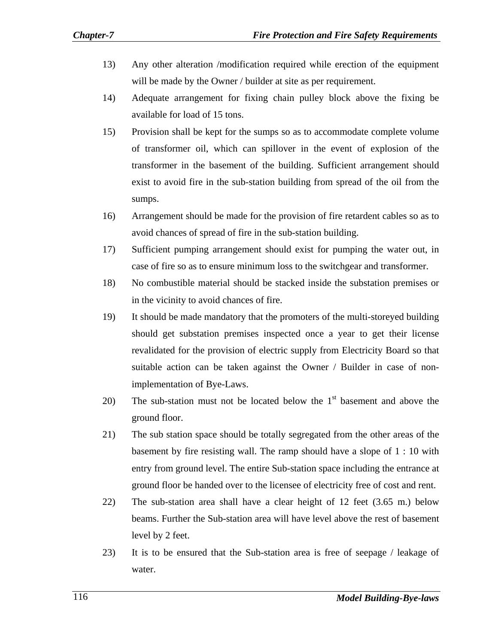- 13) Any other alteration /modification required while erection of the equipment will be made by the Owner / builder at site as per requirement.
- 14) Adequate arrangement for fixing chain pulley block above the fixing be available for load of 15 tons.
- 15) Provision shall be kept for the sumps so as to accommodate complete volume of transformer oil, which can spillover in the event of explosion of the transformer in the basement of the building. Sufficient arrangement should exist to avoid fire in the sub-station building from spread of the oil from the sumps.
- 16) Arrangement should be made for the provision of fire retardent cables so as to avoid chances of spread of fire in the sub-station building.
- 17) Sufficient pumping arrangement should exist for pumping the water out, in case of fire so as to ensure minimum loss to the switchgear and transformer.
- 18) No combustible material should be stacked inside the substation premises or in the vicinity to avoid chances of fire.
- 19) It should be made mandatory that the promoters of the multi-storeyed building should get substation premises inspected once a year to get their license revalidated for the provision of electric supply from Electricity Board so that suitable action can be taken against the Owner / Builder in case of nonimplementation of Bye-Laws.
- 20) The sub-station must not be located below the  $1<sup>st</sup>$  basement and above the ground floor.
- 21) The sub station space should be totally segregated from the other areas of the basement by fire resisting wall. The ramp should have a slope of 1 : 10 with entry from ground level. The entire Sub-station space including the entrance at ground floor be handed over to the licensee of electricity free of cost and rent.
- 22) The sub-station area shall have a clear height of 12 feet (3.65 m.) below beams. Further the Sub-station area will have level above the rest of basement level by 2 feet.
- 23) It is to be ensured that the Sub-station area is free of seepage / leakage of water.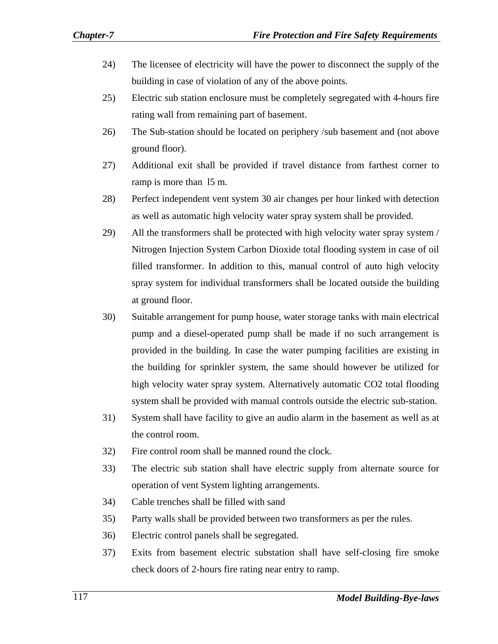- 24) The licensee of electricity will have the power to disconnect the supply of the building in case of violation of any of the above points.
- 25) Electric sub station enclosure must be completely segregated with 4-hours fire rating wall from remaining part of basement.
- 26) The Sub-station should be located on periphery /sub basement and (not above ground floor).
- 27) Additional exit shall be provided if travel distance from farthest corner to ramp is more than l5 m.
- 28) Perfect independent vent system 30 air changes per hour linked with detection as well as automatic high velocity water spray system shall be provided.
- 29) All the transformers shall be protected with high velocity water spray system / Nitrogen Injection System Carbon Dioxide total flooding system in case of oil filled transformer. In addition to this, manual control of auto high velocity spray system for individual transformers shall be located outside the building at ground floor.
- 30) Suitable arrangement for pump house, water storage tanks with main electrical pump and a diesel-operated pump shall be made if no such arrangement is provided in the building. In case the water pumping facilities are existing in the building for sprinkler system, the same should however be utilized for high velocity water spray system. Alternatively automatic CO2 total flooding system shall be provided with manual controls outside the electric sub-station.
- 31) System shall have facility to give an audio alarm in the basement as well as at the control room.
- 32) Fire control room shall be manned round the clock.
- 33) The electric sub station shall have electric supply from alternate source for operation of vent System lighting arrangements.
- 34) Cable trenches shall be filled with sand
- 35) Party walls shall be provided between two transformers as per the rules.
- 36) Electric control panels shall be segregated.
- 37) Exits from basement electric substation shall have self-closing fire smoke check doors of 2-hours fire rating near entry to ramp.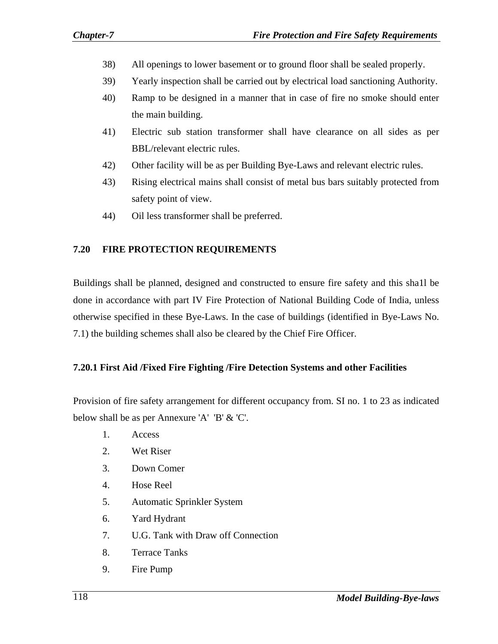- 38) All openings to lower basement or to ground floor shall be sealed properly.
- 39) Yearly inspection shall be carried out by electrical load sanctioning Authority.
- 40) Ramp to be designed in a manner that in case of fire no smoke should enter the main building.
- 41) Electric sub station transformer shall have clearance on all sides as per BBL/relevant electric rules.
- 42) Other facility will be as per Building Bye-Laws and relevant electric rules.
- 43) Rising electrical mains shall consist of metal bus bars suitably protected from safety point of view.
- 44) Oil less transformer shall be preferred.

## **7.20 FIRE PROTECTION REQUIREMENTS**

Buildings shall be planned, designed and constructed to ensure fire safety and this sha1l be done in accordance with part IV Fire Protection of National Building Code of India, unless otherwise specified in these Bye-Laws. In the case of buildings (identified in Bye-Laws No. 7.1) the building schemes shall also be cleared by the Chief Fire Officer.

## **7.20.1 First Aid /Fixed Fire Fighting /Fire Detection Systems and other Facilities**

Provision of fire safety arrangement for different occupancy from. SI no. 1 to 23 as indicated below shall be as per Annexure 'A' 'B' & 'C'.

- 1. Access
- 2. Wet Riser
- 3. Down Comer
- 4. Hose Reel
- 5. Automatic Sprinkler System
- 6. Yard Hydrant
- 7. U.G. Tank with Draw off Connection
- 8. Terrace Tanks
- 9. Fire Pump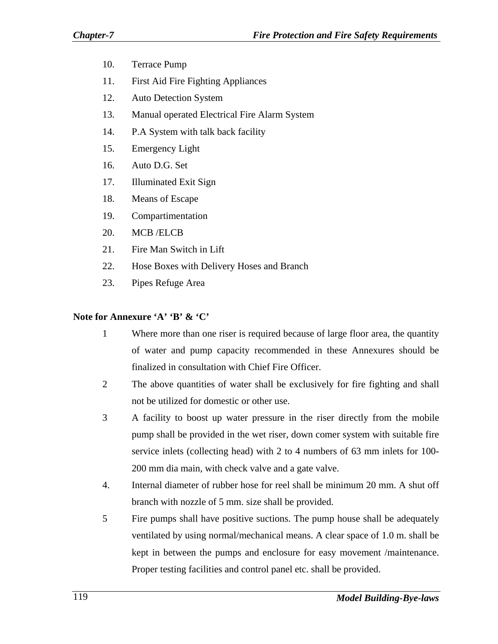- 10. Terrace Pump
- 11. First Aid Fire Fighting Appliances
- 12. Auto Detection System
- 13. Manual operated Electrical Fire Alarm System
- 14. P.A System with talk back facility
- 15. Emergency Light
- 16. Auto D.G. Set
- 17. Illuminated Exit Sign
- 18. Means of Escape
- 19. Compartimentation
- 20. MCB /ELCB
- 21. Fire Man Switch in Lift
- 22. Hose Boxes with Delivery Hoses and Branch
- 23. Pipes Refuge Area

#### **Note for Annexure 'A' 'B' & 'C'**

- 1 Where more than one riser is required because of large floor area, the quantity of water and pump capacity recommended in these Annexures should be finalized in consultation with Chief Fire Officer.
- 2 The above quantities of water shall be exclusively for fire fighting and shall not be utilized for domestic or other use.
- 3 A facility to boost up water pressure in the riser directly from the mobile pump shall be provided in the wet riser, down comer system with suitable fire service inlets (collecting head) with 2 to 4 numbers of 63 mm inlets for 100- 200 mm dia main, with check valve and a gate valve.
- 4. Internal diameter of rubber hose for reel shall be minimum 20 mm. A shut off branch with nozzle of 5 mm. size shall be provided.
- 5 Fire pumps shall have positive suctions. The pump house shall be adequately ventilated by using normal/mechanical means. A clear space of 1.0 m. shall be kept in between the pumps and enclosure for easy movement /maintenance. Proper testing facilities and control panel etc. shall be provided.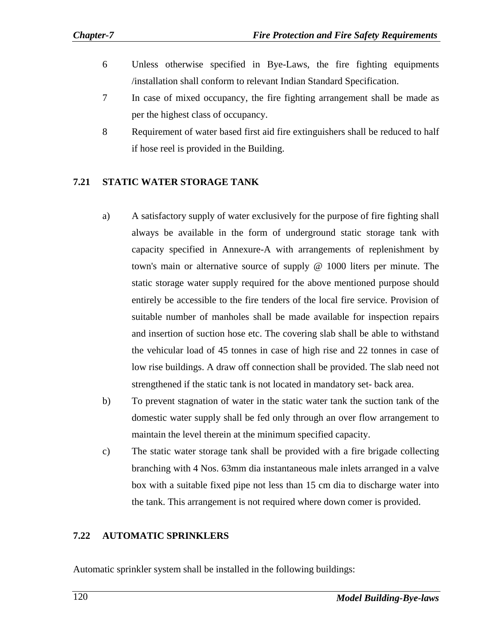- 6 Unless otherwise specified in Bye-Laws, the fire fighting equipments /installation shall conform to relevant Indian Standard Specification.
- 7 In case of mixed occupancy, the fire fighting arrangement shall be made as per the highest class of occupancy.
- 8 Requirement of water based first aid fire extinguishers shall be reduced to half if hose reel is provided in the Building.

## **7.21 STATIC WATER STORAGE TANK**

- a) A satisfactory supply of water exclusively for the purpose of fire fighting shall always be available in the form of underground static storage tank with capacity specified in Annexure-A with arrangements of replenishment by town's main or alternative source of supply @ 1000 liters per minute. The static storage water supply required for the above mentioned purpose should entirely be accessible to the fire tenders of the local fire service. Provision of suitable number of manholes shall be made available for inspection repairs and insertion of suction hose etc. The covering slab shall be able to withstand the vehicular load of 45 tonnes in case of high rise and 22 tonnes in case of low rise buildings. A draw off connection shall be provided. The slab need not strengthened if the static tank is not located in mandatory set- back area.
- b) To prevent stagnation of water in the static water tank the suction tank of the domestic water supply shall be fed only through an over flow arrangement to maintain the level therein at the minimum specified capacity.
- c) The static water storage tank shall be provided with a fire brigade collecting branching with 4 Nos. 63mm dia instantaneous male inlets arranged in a valve box with a suitable fixed pipe not less than 15 cm dia to discharge water into the tank. This arrangement is not required where down comer is provided.

#### **7.22 AUTOMATIC SPRINKLERS**

Automatic sprinkler system shall be installed in the following buildings: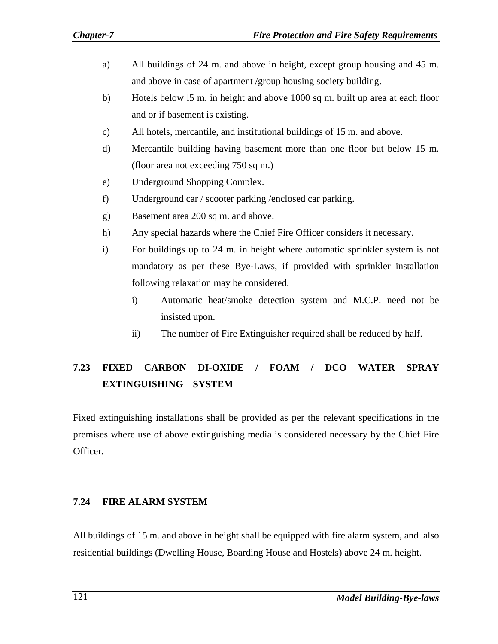- a) All buildings of 24 m. and above in height, except group housing and 45 m. and above in case of apartment /group housing society building.
- b) Hotels below l5 m. in height and above 1000 sq m. built up area at each floor and or if basement is existing.
- c) All hotels, mercantile, and institutional buildings of 15 m. and above.
- d) Mercantile building having basement more than one floor but below 15 m. (floor area not exceeding 750 sq m.)
- e) Underground Shopping Complex.
- f) Underground car / scooter parking /enclosed car parking.
- g) Basement area 200 sq m. and above.
- h) Any special hazards where the Chief Fire Officer considers it necessary.
- i) For buildings up to 24 m. in height where automatic sprinkler system is not mandatory as per these Bye-Laws, if provided with sprinkler installation following relaxation may be considered.
	- i) Automatic heat/smoke detection system and M.C.P. need not be insisted upon.
	- ii) The number of Fire Extinguisher required shall be reduced by half.

## **7.23 FIXED CARBON DI-OXIDE / FOAM / DCO WATER SPRAY EXTINGUISHING SYSTEM**

Fixed extinguishing installations shall be provided as per the relevant specifications in the premises where use of above extinguishing media is considered necessary by the Chief Fire Officer.

## **7.24 FIRE ALARM SYSTEM**

All buildings of 15 m. and above in height shall be equipped with fire alarm system, and also residential buildings (Dwelling House, Boarding House and Hostels) above 24 m. height.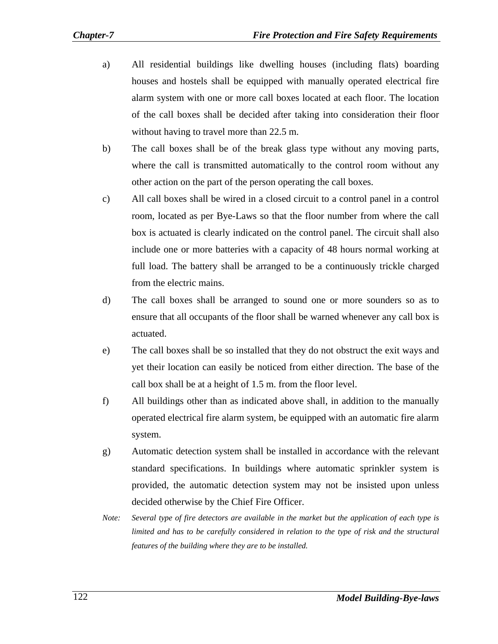- a) All residential buildings like dwelling houses (including flats) boarding houses and hostels shall be equipped with manually operated electrical fire alarm system with one or more call boxes located at each floor. The location of the call boxes shall be decided after taking into consideration their floor without having to travel more than 22.5 m.
- b) The call boxes shall be of the break glass type without any moving parts, where the call is transmitted automatically to the control room without any other action on the part of the person operating the call boxes.
- c) All call boxes shall be wired in a closed circuit to a control panel in a control room, located as per Bye-Laws so that the floor number from where the call box is actuated is clearly indicated on the control panel. The circuit shall also include one or more batteries with a capacity of 48 hours normal working at full load. The battery shall be arranged to be a continuously trickle charged from the electric mains.
- d) The call boxes shall be arranged to sound one or more sounders so as to ensure that all occupants of the floor shall be warned whenever any call box is actuated.
- e) The call boxes shall be so installed that they do not obstruct the exit ways and yet their location can easily be noticed from either direction. The base of the call box shall be at a height of 1.5 m. from the floor level.
- f) All buildings other than as indicated above shall, in addition to the manually operated electrical fire alarm system, be equipped with an automatic fire alarm system.
- g) Automatic detection system shall be installed in accordance with the relevant standard specifications. In buildings where automatic sprinkler system is provided, the automatic detection system may not be insisted upon unless decided otherwise by the Chief Fire Officer.
- *Note: Several type of fire detectors are available in the market but the application of each type is limited and has to be carefully considered in relation to the type of risk and the structural features of the building where they are to be installed.*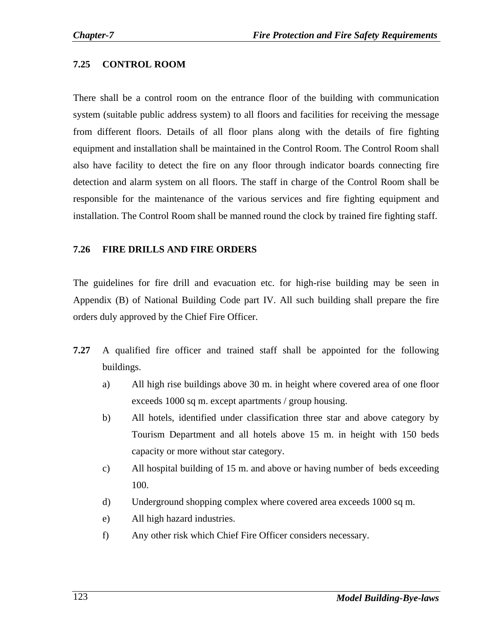### **7.25 CONTROL ROOM**

There shall be a control room on the entrance floor of the building with communication system (suitable public address system) to all floors and facilities for receiving the message from different floors. Details of all floor plans along with the details of fire fighting equipment and installation shall be maintained in the Control Room. The Control Room shall also have facility to detect the fire on any floor through indicator boards connecting fire detection and alarm system on all floors. The staff in charge of the Control Room shall be responsible for the maintenance of the various services and fire fighting equipment and installation. The Control Room shall be manned round the clock by trained fire fighting staff.

#### **7.26 FIRE DRILLS AND FIRE ORDERS**

The guidelines for fire drill and evacuation etc. for high-rise building may be seen in Appendix (B) of National Building Code part IV. All such building shall prepare the fire orders duly approved by the Chief Fire Officer.

- **7.27** A qualified fire officer and trained staff shall be appointed for the following buildings.
	- a) All high rise buildings above 30 m. in height where covered area of one floor exceeds 1000 sq m. except apartments / group housing.
	- b) All hotels, identified under classification three star and above category by Tourism Department and all hotels above 15 m. in height with 150 beds capacity or more without star category.
	- c) All hospital building of 15 m. and above or having number of beds exceeding 100.
	- d) Underground shopping complex where covered area exceeds 1000 sq m.
	- e) All high hazard industries.
	- f) Any other risk which Chief Fire Officer considers necessary.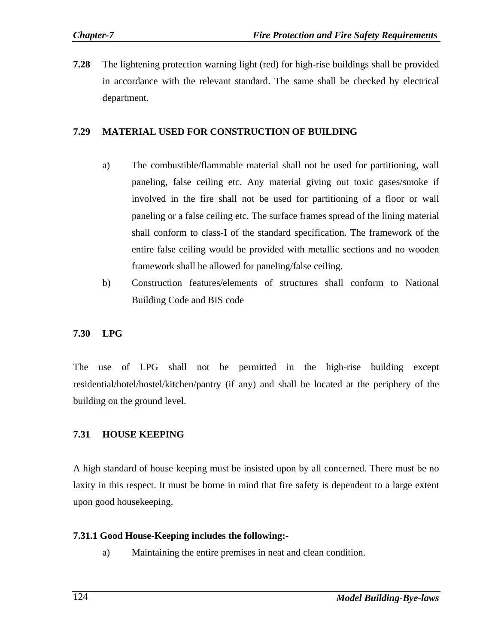**7.28** The lightening protection warning light (red) for high-rise buildings shall be provided in accordance with the relevant standard. The same shall be checked by electrical department.

#### **7.29 MATERIAL USED FOR CONSTRUCTION OF BUILDING**

- a) The combustible/flammable material shall not be used for partitioning, wall paneling, false ceiling etc. Any material giving out toxic gases/smoke if involved in the fire shall not be used for partitioning of a floor or wall paneling or a false ceiling etc. The surface frames spread of the lining material shall conform to class-I of the standard specification. The framework of the entire false ceiling would be provided with metallic sections and no wooden framework shall be allowed for paneling/false ceiling.
- b) Construction features/elements of structures shall conform to National Building Code and BIS code

#### **7.30 LPG**

The use of LPG shall not be permitted in the high-rise building except residential/hotel/hostel/kitchen/pantry (if any) and shall be located at the periphery of the building on the ground level.

#### **7.31 HOUSE KEEPING**

A high standard of house keeping must be insisted upon by all concerned. There must be no laxity in this respect. It must be borne in mind that fire safety is dependent to a large extent upon good housekeeping.

#### **7.31.1 Good House-Keeping includes the following:-**

a) Maintaining the entire premises in neat and clean condition.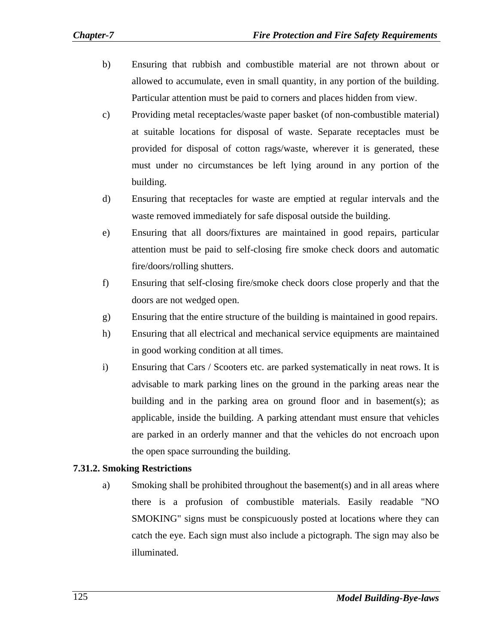- b) Ensuring that rubbish and combustible material are not thrown about or allowed to accumulate, even in small quantity, in any portion of the building. Particular attention must be paid to corners and places hidden from view.
- c) Providing metal receptacles/waste paper basket (of non-combustible material) at suitable locations for disposal of waste. Separate receptacles must be provided for disposal of cotton rags/waste, wherever it is generated, these must under no circumstances be left lying around in any portion of the building.
- d) Ensuring that receptacles for waste are emptied at regular intervals and the waste removed immediately for safe disposal outside the building.
- e) Ensuring that all doors/fixtures are maintained in good repairs, particular attention must be paid to self-closing fire smoke check doors and automatic fire/doors/rolling shutters.
- f) Ensuring that self-closing fire/smoke check doors close properly and that the doors are not wedged open.
- g) Ensuring that the entire structure of the building is maintained in good repairs.
- h) Ensuring that all electrical and mechanical service equipments are maintained in good working condition at all times.
- i) Ensuring that Cars / Scooters etc. are parked systematically in neat rows. It is advisable to mark parking lines on the ground in the parking areas near the building and in the parking area on ground floor and in basement(s); as applicable, inside the building. A parking attendant must ensure that vehicles are parked in an orderly manner and that the vehicles do not encroach upon the open space surrounding the building.

## **7.31.2. Smoking Restrictions**

a) Smoking shall be prohibited throughout the basement(s) and in all areas where there is a profusion of combustible materials. Easily readable "NO SMOKING" signs must be conspicuously posted at locations where they can catch the eye. Each sign must also include a pictograph. The sign may also be illuminated.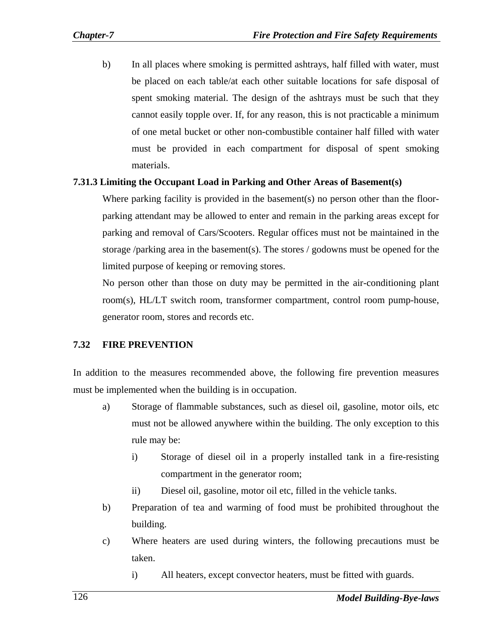b) In all places where smoking is permitted ashtrays, half filled with water, must be placed on each table/at each other suitable locations for safe disposal of spent smoking material. The design of the ashtrays must be such that they cannot easily topple over. If, for any reason, this is not practicable a minimum of one metal bucket or other non-combustible container half filled with water must be provided in each compartment for disposal of spent smoking materials.

#### **7.31.3 Limiting the Occupant Load in Parking and Other Areas of Basement(s)**

Where parking facility is provided in the basement(s) no person other than the floorparking attendant may be allowed to enter and remain in the parking areas except for parking and removal of Cars/Scooters. Regular offices must not be maintained in the storage /parking area in the basement(s). The stores / godowns must be opened for the limited purpose of keeping or removing stores.

No person other than those on duty may be permitted in the air-conditioning plant room(s), HL/LT switch room, transformer compartment, control room pump-house, generator room, stores and records etc.

## **7.32 FIRE PREVENTION**

In addition to the measures recommended above, the following fire prevention measures must be implemented when the building is in occupation.

- a) Storage of flammable substances, such as diesel oil, gasoline, motor oils, etc must not be allowed anywhere within the building. The only exception to this rule may be:
	- i) Storage of diesel oil in a properly installed tank in a fire-resisting compartment in the generator room;
	- ii) Diesel oil, gasoline, motor oil etc, filled in the vehicle tanks.
- b) Preparation of tea and warming of food must be prohibited throughout the building.
- c) Where heaters are used during winters, the following precautions must be taken.
	- i) All heaters, except convector heaters, must be fitted with guards.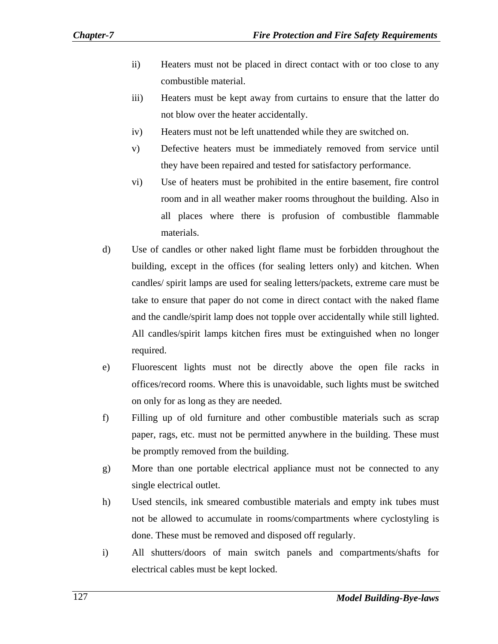- ii) Heaters must not be placed in direct contact with or too close to any combustible material.
- iii) Heaters must be kept away from curtains to ensure that the latter do not blow over the heater accidentally.
- iv) Heaters must not be left unattended while they are switched on.
- v) Defective heaters must be immediately removed from service until they have been repaired and tested for satisfactory performance.
- vi) Use of heaters must be prohibited in the entire basement, fire control room and in all weather maker rooms throughout the building. Also in all places where there is profusion of combustible flammable materials.
- d) Use of candles or other naked light flame must be forbidden throughout the building, except in the offices (for sealing letters only) and kitchen. When candles/ spirit lamps are used for sealing letters/packets, extreme care must be take to ensure that paper do not come in direct contact with the naked flame and the candle/spirit lamp does not topple over accidentally while still lighted. All candles/spirit lamps kitchen fires must be extinguished when no longer required.
- e) Fluorescent lights must not be directly above the open file racks in offices/record rooms. Where this is unavoidable, such lights must be switched on only for as long as they are needed.
- f) Filling up of old furniture and other combustible materials such as scrap paper, rags, etc. must not be permitted anywhere in the building. These must be promptly removed from the building.
- g) More than one portable electrical appliance must not be connected to any single electrical outlet.
- h) Used stencils, ink smeared combustible materials and empty ink tubes must not be allowed to accumulate in rooms/compartments where cyclostyling is done. These must be removed and disposed off regularly.
- i) All shutters/doors of main switch panels and compartments/shafts for electrical cables must be kept locked.